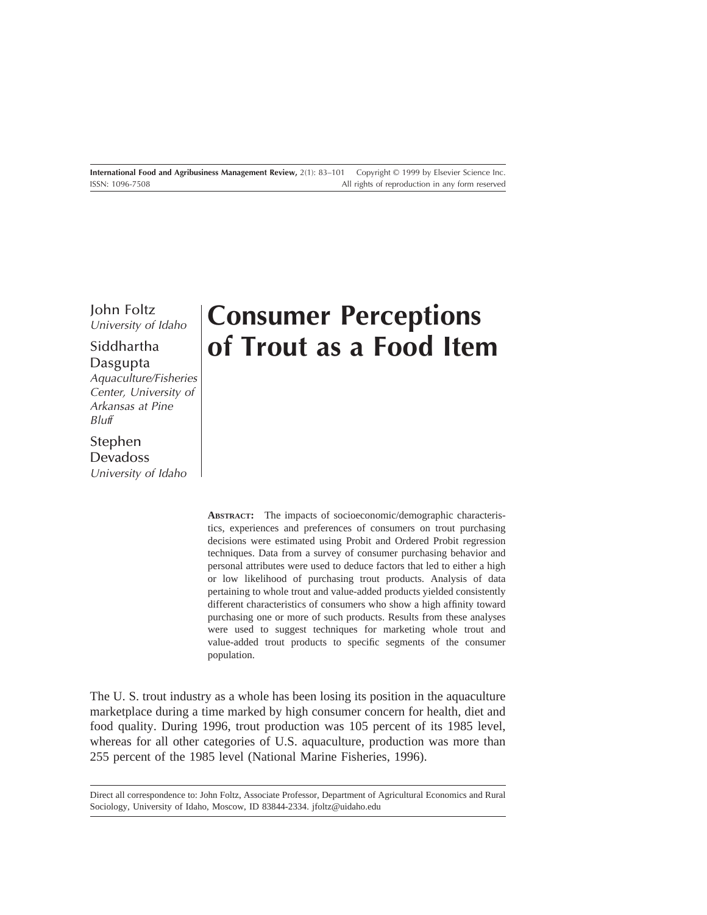John Foltz University of Idaho

# Siddhartha Dasgupta

Aquaculture/Fisheries Center, University of Arkansas at Pine Bluff

# Stephen

Devadoss University of Idaho

# **Consumer Perceptions of Trout as a Food Item**

**ABSTRACT:** The impacts of socioeconomic/demographic characteristics, experiences and preferences of consumers on trout purchasing decisions were estimated using Probit and Ordered Probit regression techniques. Data from a survey of consumer purchasing behavior and personal attributes were used to deduce factors that led to either a high or low likelihood of purchasing trout products. Analysis of data pertaining to whole trout and value-added products yielded consistently different characteristics of consumers who show a high affinity toward purchasing one or more of such products. Results from these analyses were used to suggest techniques for marketing whole trout and value-added trout products to specific segments of the consumer population.

The U. S. trout industry as a whole has been losing its position in the aquaculture marketplace during a time marked by high consumer concern for health, diet and food quality. During 1996, trout production was 105 percent of its 1985 level, whereas for all other categories of U.S. aquaculture, production was more than 255 percent of the 1985 level (National Marine Fisheries, 1996).

Direct all correspondence to: John Foltz, Associate Professor, Department of Agricultural Economics and Rural Sociology, University of Idaho, Moscow, ID 83844-2334. jfoltz@uidaho.edu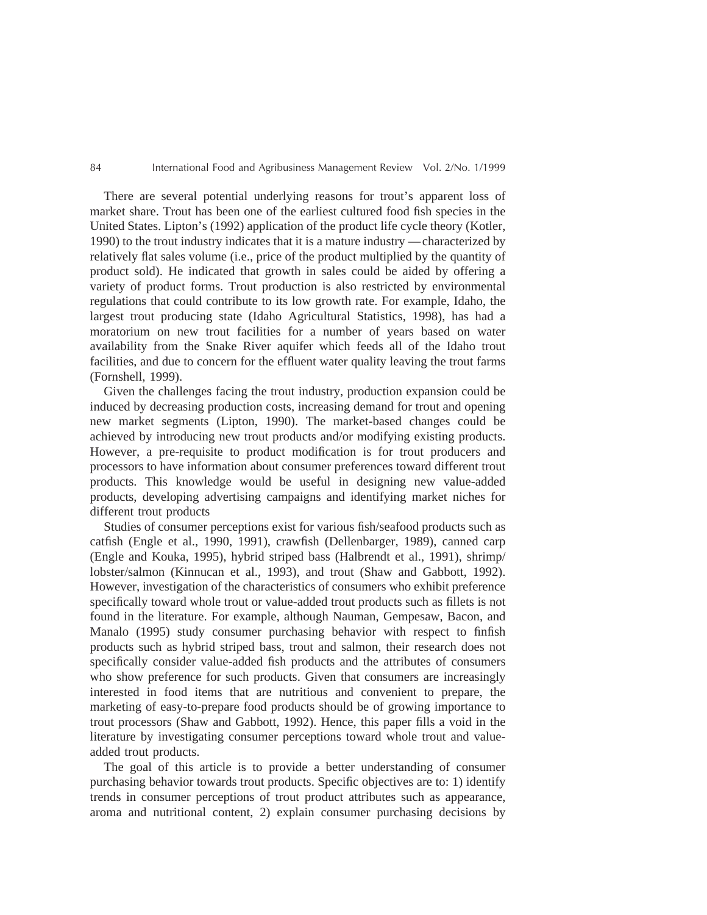There are several potential underlying reasons for trout's apparent loss of market share. Trout has been one of the earliest cultured food fish species in the United States. Lipton's (1992) application of the product life cycle theory (Kotler, 1990) to the trout industry indicates that it is a mature industry —characterized by relatively flat sales volume (i.e., price of the product multiplied by the quantity of product sold). He indicated that growth in sales could be aided by offering a variety of product forms. Trout production is also restricted by environmental regulations that could contribute to its low growth rate. For example, Idaho, the largest trout producing state (Idaho Agricultural Statistics, 1998), has had a moratorium on new trout facilities for a number of years based on water availability from the Snake River aquifer which feeds all of the Idaho trout facilities, and due to concern for the effluent water quality leaving the trout farms (Fornshell, 1999).

Given the challenges facing the trout industry, production expansion could be induced by decreasing production costs, increasing demand for trout and opening new market segments (Lipton, 1990). The market-based changes could be achieved by introducing new trout products and/or modifying existing products. However, a pre-requisite to product modification is for trout producers and processors to have information about consumer preferences toward different trout products. This knowledge would be useful in designing new value-added products, developing advertising campaigns and identifying market niches for different trout products

Studies of consumer perceptions exist for various fish/seafood products such as catfish (Engle et al., 1990, 1991), crawfish (Dellenbarger, 1989), canned carp (Engle and Kouka, 1995), hybrid striped bass (Halbrendt et al., 1991), shrimp/ lobster/salmon (Kinnucan et al., 1993), and trout (Shaw and Gabbott, 1992). However, investigation of the characteristics of consumers who exhibit preference specifically toward whole trout or value-added trout products such as fillets is not found in the literature. For example, although Nauman, Gempesaw, Bacon, and Manalo (1995) study consumer purchasing behavior with respect to finfish products such as hybrid striped bass, trout and salmon, their research does not specifically consider value-added fish products and the attributes of consumers who show preference for such products. Given that consumers are increasingly interested in food items that are nutritious and convenient to prepare, the marketing of easy-to-prepare food products should be of growing importance to trout processors (Shaw and Gabbott, 1992). Hence, this paper fills a void in the literature by investigating consumer perceptions toward whole trout and valueadded trout products.

The goal of this article is to provide a better understanding of consumer purchasing behavior towards trout products. Specific objectives are to: 1) identify trends in consumer perceptions of trout product attributes such as appearance, aroma and nutritional content, 2) explain consumer purchasing decisions by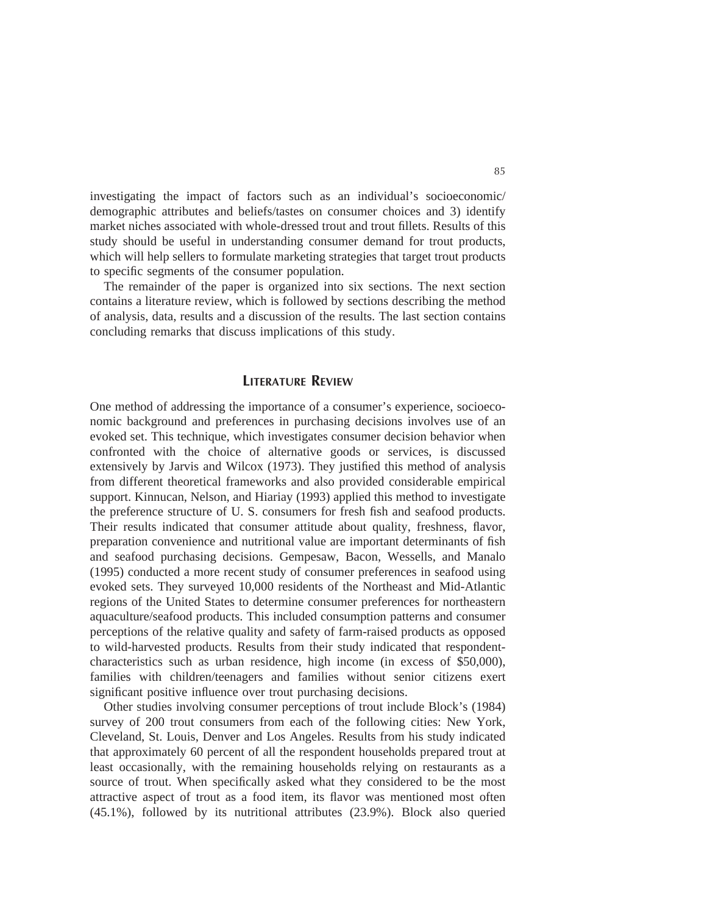investigating the impact of factors such as an individual's socioeconomic/ demographic attributes and beliefs/tastes on consumer choices and 3) identify market niches associated with whole-dressed trout and trout fillets. Results of this study should be useful in understanding consumer demand for trout products, which will help sellers to formulate marketing strategies that target trout products to specific segments of the consumer population.

The remainder of the paper is organized into six sections. The next section contains a literature review, which is followed by sections describing the method of analysis, data, results and a discussion of the results. The last section contains concluding remarks that discuss implications of this study.

## **LITERATURE REVIEW**

One method of addressing the importance of a consumer's experience, socioeconomic background and preferences in purchasing decisions involves use of an evoked set. This technique, which investigates consumer decision behavior when confronted with the choice of alternative goods or services, is discussed extensively by Jarvis and Wilcox (1973). They justified this method of analysis from different theoretical frameworks and also provided considerable empirical support. Kinnucan, Nelson, and Hiariay (1993) applied this method to investigate the preference structure of U. S. consumers for fresh fish and seafood products. Their results indicated that consumer attitude about quality, freshness, flavor, preparation convenience and nutritional value are important determinants of fish and seafood purchasing decisions. Gempesaw, Bacon, Wessells, and Manalo (1995) conducted a more recent study of consumer preferences in seafood using evoked sets. They surveyed 10,000 residents of the Northeast and Mid-Atlantic regions of the United States to determine consumer preferences for northeastern aquaculture/seafood products. This included consumption patterns and consumer perceptions of the relative quality and safety of farm-raised products as opposed to wild-harvested products. Results from their study indicated that respondentcharacteristics such as urban residence, high income (in excess of \$50,000), families with children/teenagers and families without senior citizens exert significant positive influence over trout purchasing decisions.

Other studies involving consumer perceptions of trout include Block's (1984) survey of 200 trout consumers from each of the following cities: New York, Cleveland, St. Louis, Denver and Los Angeles. Results from his study indicated that approximately 60 percent of all the respondent households prepared trout at least occasionally, with the remaining households relying on restaurants as a source of trout. When specifically asked what they considered to be the most attractive aspect of trout as a food item, its flavor was mentioned most often (45.1%), followed by its nutritional attributes (23.9%). Block also queried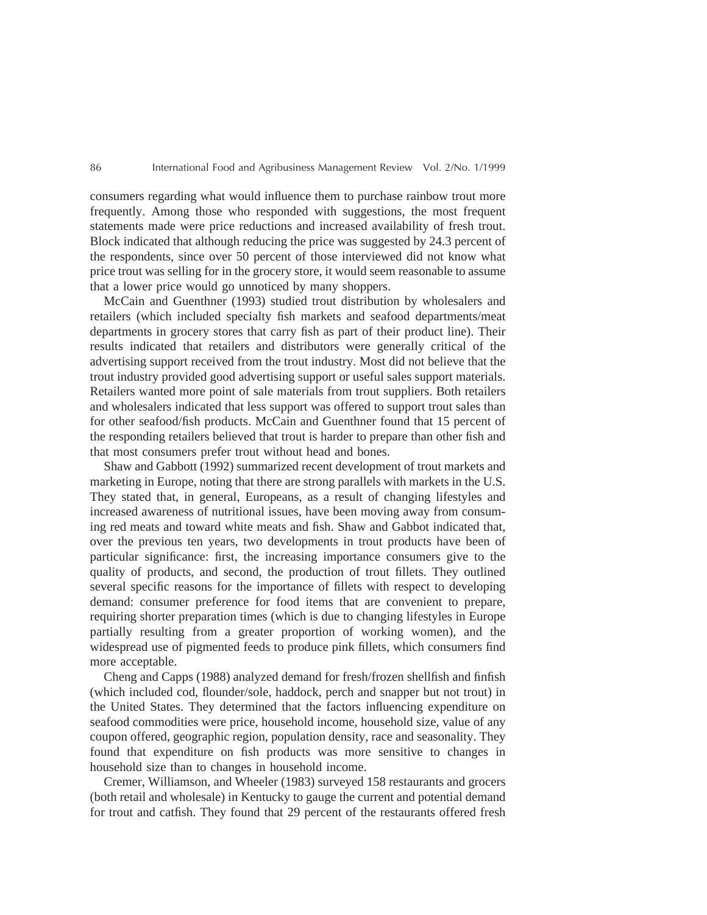consumers regarding what would influence them to purchase rainbow trout more frequently. Among those who responded with suggestions, the most frequent statements made were price reductions and increased availability of fresh trout. Block indicated that although reducing the price was suggested by 24.3 percent of the respondents, since over 50 percent of those interviewed did not know what price trout was selling for in the grocery store, it would seem reasonable to assume that a lower price would go unnoticed by many shoppers.

McCain and Guenthner (1993) studied trout distribution by wholesalers and retailers (which included specialty fish markets and seafood departments/meat departments in grocery stores that carry fish as part of their product line). Their results indicated that retailers and distributors were generally critical of the advertising support received from the trout industry. Most did not believe that the trout industry provided good advertising support or useful sales support materials. Retailers wanted more point of sale materials from trout suppliers. Both retailers and wholesalers indicated that less support was offered to support trout sales than for other seafood/fish products. McCain and Guenthner found that 15 percent of the responding retailers believed that trout is harder to prepare than other fish and that most consumers prefer trout without head and bones.

Shaw and Gabbott (1992) summarized recent development of trout markets and marketing in Europe, noting that there are strong parallels with markets in the U.S. They stated that, in general, Europeans, as a result of changing lifestyles and increased awareness of nutritional issues, have been moving away from consuming red meats and toward white meats and fish. Shaw and Gabbot indicated that, over the previous ten years, two developments in trout products have been of particular significance: first, the increasing importance consumers give to the quality of products, and second, the production of trout fillets. They outlined several specific reasons for the importance of fillets with respect to developing demand: consumer preference for food items that are convenient to prepare, requiring shorter preparation times (which is due to changing lifestyles in Europe partially resulting from a greater proportion of working women), and the widespread use of pigmented feeds to produce pink fillets, which consumers find more acceptable.

Cheng and Capps (1988) analyzed demand for fresh/frozen shellfish and finfish (which included cod, flounder/sole, haddock, perch and snapper but not trout) in the United States. They determined that the factors influencing expenditure on seafood commodities were price, household income, household size, value of any coupon offered, geographic region, population density, race and seasonality. They found that expenditure on fish products was more sensitive to changes in household size than to changes in household income.

Cremer, Williamson, and Wheeler (1983) surveyed 158 restaurants and grocers (both retail and wholesale) in Kentucky to gauge the current and potential demand for trout and catfish. They found that 29 percent of the restaurants offered fresh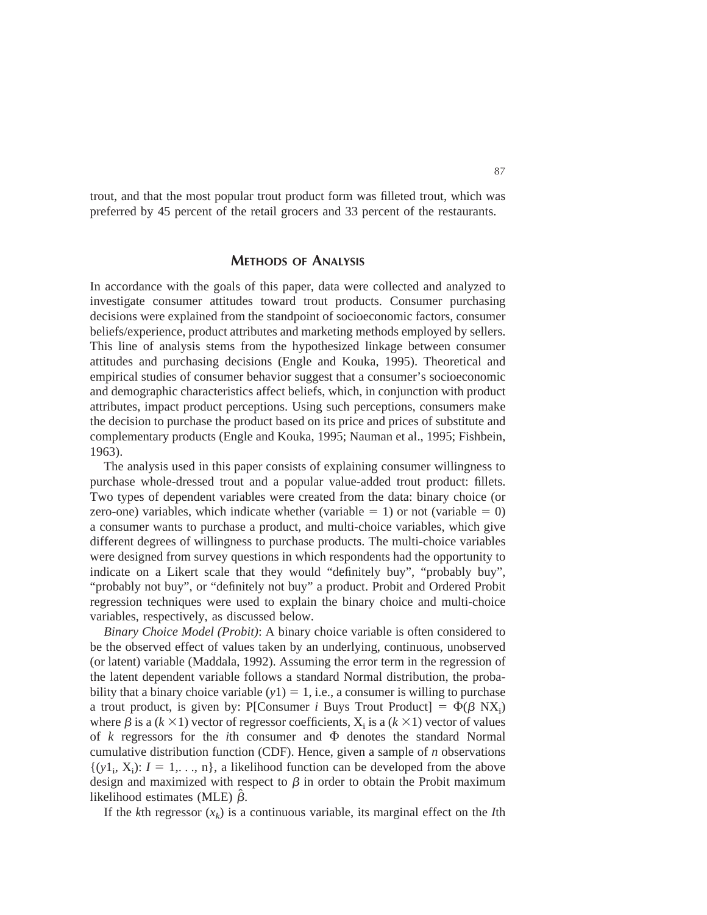trout, and that the most popular trout product form was filleted trout, which was preferred by 45 percent of the retail grocers and 33 percent of the restaurants.

## **METHODS OF ANALYSIS**

In accordance with the goals of this paper, data were collected and analyzed to investigate consumer attitudes toward trout products. Consumer purchasing decisions were explained from the standpoint of socioeconomic factors, consumer beliefs/experience, product attributes and marketing methods employed by sellers. This line of analysis stems from the hypothesized linkage between consumer attitudes and purchasing decisions (Engle and Kouka, 1995). Theoretical and empirical studies of consumer behavior suggest that a consumer's socioeconomic and demographic characteristics affect beliefs, which, in conjunction with product attributes, impact product perceptions. Using such perceptions, consumers make the decision to purchase the product based on its price and prices of substitute and complementary products (Engle and Kouka, 1995; Nauman et al., 1995; Fishbein, 1963).

The analysis used in this paper consists of explaining consumer willingness to purchase whole-dressed trout and a popular value-added trout product: fillets. Two types of dependent variables were created from the data: binary choice (or zero-one) variables, which indicate whether (variable  $= 1$ ) or not (variable  $= 0$ ) a consumer wants to purchase a product, and multi-choice variables, which give different degrees of willingness to purchase products. The multi-choice variables were designed from survey questions in which respondents had the opportunity to indicate on a Likert scale that they would "definitely buy", "probably buy", "probably not buy", or "definitely not buy" a product. Probit and Ordered Probit regression techniques were used to explain the binary choice and multi-choice variables, respectively, as discussed below.

*Binary Choice Model (Probit)*: A binary choice variable is often considered to be the observed effect of values taken by an underlying, continuous, unobserved (or latent) variable (Maddala, 1992). Assuming the error term in the regression of the latent dependent variable follows a standard Normal distribution, the probability that a binary choice variable  $(y1) = 1$ , i.e., a consumer is willing to purchase a trout product, is given by: P[Consumer *i* Buys Trout Product] =  $\Phi(\beta \text{ N}X_i)$ where  $\beta$  is a ( $k \times 1$ ) vector of regressor coefficients,  $X_i$  is a ( $k \times 1$ ) vector of values of  $k$  regressors for the *i*th consumer and  $\Phi$  denotes the standard Normal cumulative distribution function (CDF). Hence, given a sample of *n* observations  $\{(y_1, X_i): I = 1, \ldots, n\}$ , a likelihood function can be developed from the above design and maximized with respect to  $\beta$  in order to obtain the Probit maximum likelihood estimates (MLE)  $\hat{\beta}$ .

If the *k*th regressor  $(x_k)$  is a continuous variable, its marginal effect on the *I*th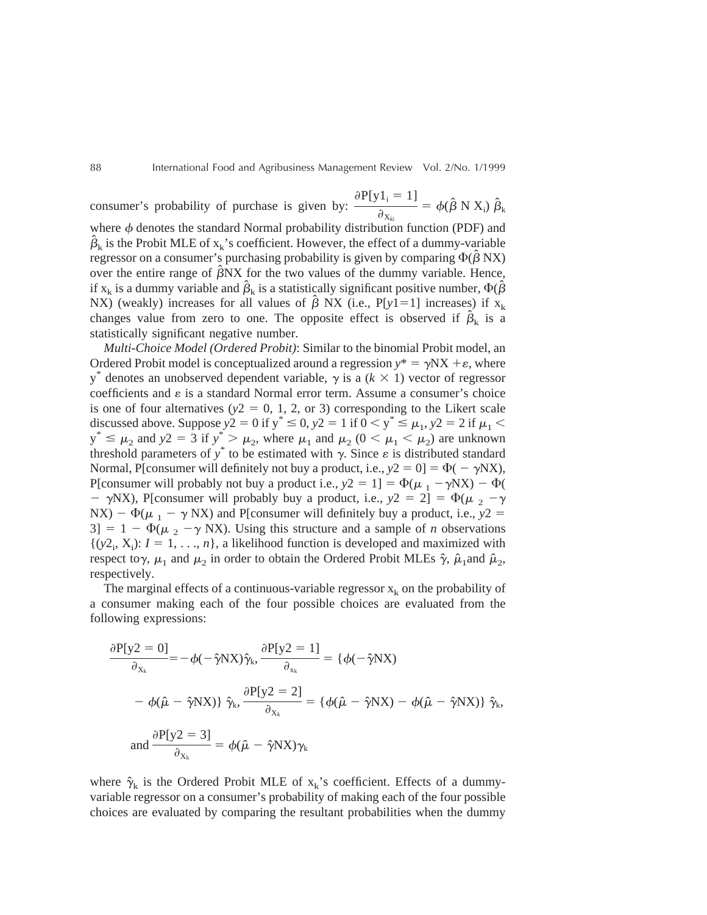consumer's probability of purchase is given by:  $\partial P[y1_i = 1]$  $\frac{\partial^2 \mathbf{X}_{ki}}{\partial \mathbf{X}_{ki}} = \phi(\hat{\boldsymbol{\beta}} \mathbf{N} \mathbf{X}_i) \hat{\boldsymbol{\beta}}_k$ 

where  $\phi$  denotes the standard Normal probability distribution function (PDF) and  $\hat{\beta}_k$  is the Probit MLE of  $x_k$ 's coefficient. However, the effect of a dummy-variable regressor on a consumer's purchasing probability is given by comparing  $\Phi(\hat{\beta} N X)$ over the entire range of  $\hat{\beta}NX$  for the two values of the dummy variable. Hence, if  $x_k$  is a dummy variable and  $\hat{\beta}_k$  is a statistically significant positive number,  $\Phi(\hat{\beta})$ NX) (weakly) increases for all values of  $\hat{\beta}$  NX (i.e., P[*y*1=1] increases) if  $x_k$ changes value from zero to one. The opposite effect is observed if  $\hat{\beta}_k$  is a statistically significant negative number.

*Multi-Choice Model (Ordered Probit)*: Similar to the binomial Probit model, an Ordered Probit model is conceptualized around a regression  $y^* = \gamma N X + \varepsilon$ , where  $y^*$  denotes an unobserved dependent variable,  $\gamma$  is a ( $k \times 1$ ) vector of regressor coefficients and  $\varepsilon$  is a standard Normal error term. Assume a consumer's choice is one of four alternatives  $(y2 = 0, 1, 2,$  or 3) corresponding to the Likert scale discussed above. Suppose  $y^2 = 0$  if  $y^* \le 0$ ,  $y^2 = 1$  if  $0 < y^* \le \mu_1$ ,  $y^2 = 2$  if  $\mu_1$  $y^* \le \mu_2$  and  $y2 = 3$  if  $y^* > \mu_2$ , where  $\mu_1$  and  $\mu_2$  ( $0 < \mu_1 < \mu_2$ ) are unknown threshold parameters of  $y^*$  to be estimated with  $\gamma$ . Since  $\varepsilon$  is distributed standard Normal, P[consumer will definitely not buy a product, i.e.,  $y2 = 0$ ] =  $\Phi(-\gamma N X)$ , P[consumer will probably not buy a product i.e.,  $y2 = 1$ ] =  $\Phi(\mu_1 - \gamma N X) - \Phi(\mu_2 - \gamma N X)$  $- \gamma$ NX), P[consumer will probably buy a product, i.e.,  $y2 = 2$ ] =  $\Phi(\mu_2 - \gamma)$ NX) -  $\Phi(\mu_1 - \gamma NX)$  and P[consumer will definitely buy a product, i.e.,  $y2 =$  $3$ ] = 1 -  $\Phi(\mu_2 - \gamma N X)$ . Using this structure and a sample of *n* observations  $\{(y2_i, X_i): I = 1, \ldots, n\}$ , a likelihood function is developed and maximized with respect to $\gamma$ ,  $\mu_1$  and  $\mu_2$  in order to obtain the Ordered Probit MLEs  $\hat{\gamma}$ ,  $\hat{\mu}_1$ and  $\hat{\mu}_2$ , respectively.

The marginal effects of a continuous-variable regressor  $x_k$  on the probability of a consumer making each of the four possible choices are evaluated from the following expressions:

$$
\frac{\partial P[y2 = 0]}{\partial_{X_k}} = -\phi(-\hat{\gamma}NX)\hat{\gamma}_k, \frac{\partial P[y2 = 1]}{\partial_{x_k}} = \{\phi(-\hat{\gamma}NX) \n- \phi(\hat{\mu} - \hat{\gamma}NX)\} \hat{\gamma}_k, \frac{\partial P[y2 = 2]}{\partial_{X_k}} = \{\phi(\hat{\mu} - \hat{\gamma}NX) - \phi(\hat{\mu} - \hat{\gamma}NX)\} \hat{\gamma}_k, \text{and } \frac{\partial P[y2 = 3]}{\partial_{X_k}} = \phi(\hat{\mu} - \hat{\gamma}NX)\gamma_k
$$

where  $\hat{\gamma}_k$  is the Ordered Probit MLE of  $x_k$ 's coefficient. Effects of a dummyvariable regressor on a consumer's probability of making each of the four possible choices are evaluated by comparing the resultant probabilities when the dummy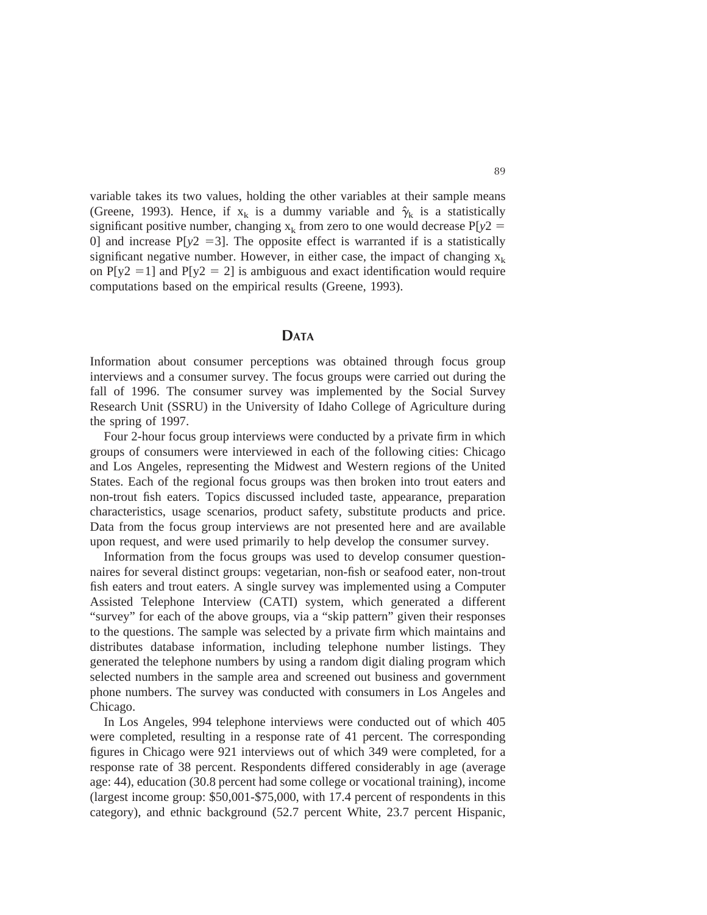variable takes its two values, holding the other variables at their sample means (Greene, 1993). Hence, if  $x_k$  is a dummy variable and  $\hat{\gamma}_k$  is a statistically significant positive number, changing  $x_k$  from zero to one would decrease  $P[y^2]$ 0] and increase  $P[y^2 = 3]$ . The opposite effect is warranted if is a statistically significant negative number. However, in either case, the impact of changing  $x_k$ on P[y2 = 1] and P[y2 = 2] is ambiguous and exact identification would require computations based on the empirical results (Greene, 1993).

# **DATA**

Information about consumer perceptions was obtained through focus group interviews and a consumer survey. The focus groups were carried out during the fall of 1996. The consumer survey was implemented by the Social Survey Research Unit (SSRU) in the University of Idaho College of Agriculture during the spring of 1997.

Four 2-hour focus group interviews were conducted by a private firm in which groups of consumers were interviewed in each of the following cities: Chicago and Los Angeles, representing the Midwest and Western regions of the United States. Each of the regional focus groups was then broken into trout eaters and non-trout fish eaters. Topics discussed included taste, appearance, preparation characteristics, usage scenarios, product safety, substitute products and price. Data from the focus group interviews are not presented here and are available upon request, and were used primarily to help develop the consumer survey.

Information from the focus groups was used to develop consumer questionnaires for several distinct groups: vegetarian, non-fish or seafood eater, non-trout fish eaters and trout eaters. A single survey was implemented using a Computer Assisted Telephone Interview (CATI) system, which generated a different "survey" for each of the above groups, via a "skip pattern" given their responses to the questions. The sample was selected by a private firm which maintains and distributes database information, including telephone number listings. They generated the telephone numbers by using a random digit dialing program which selected numbers in the sample area and screened out business and government phone numbers. The survey was conducted with consumers in Los Angeles and Chicago.

In Los Angeles, 994 telephone interviews were conducted out of which 405 were completed, resulting in a response rate of 41 percent. The corresponding figures in Chicago were 921 interviews out of which 349 were completed, for a response rate of 38 percent. Respondents differed considerably in age (average age: 44), education (30.8 percent had some college or vocational training), income (largest income group: \$50,001-\$75,000, with 17.4 percent of respondents in this category), and ethnic background (52.7 percent White, 23.7 percent Hispanic,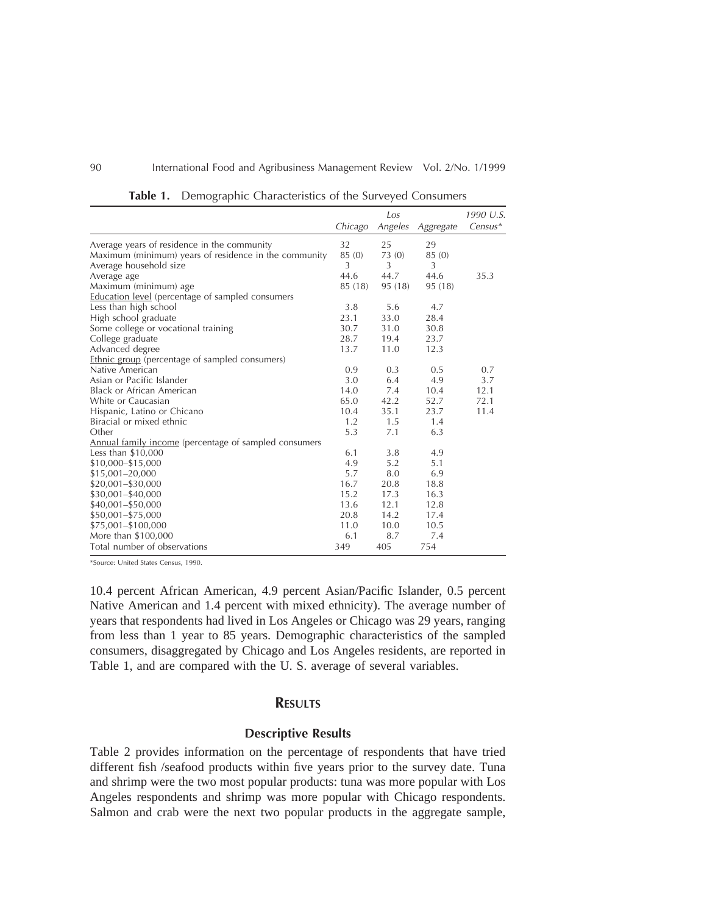|                                                         |         | Los            |                | 1990 U.S.<br>$Census*$ |
|---------------------------------------------------------|---------|----------------|----------------|------------------------|
|                                                         | Chicago | Angeles        | Aggregate      |                        |
| Average years of residence in the community             | 32      | 25             | 29             |                        |
| Maximum (minimum) years of residence in the community   | 85 (0)  | 73(0)          | 85 (0)         |                        |
| Average household size                                  | 3       | $\overline{3}$ | $\overline{3}$ |                        |
| Average age                                             | 44.6    | 44.7           | 44.6           | 35.3                   |
| Maximum (minimum) age                                   | 85 (18) | 95 (18)        | 95 (18)        |                        |
| <b>Education level</b> (percentage of sampled consumers |         |                |                |                        |
| Less than high school                                   | 3.8     | 5.6            | 4.7            |                        |
| High school graduate                                    | 23.1    | 33.0           | 28.4           |                        |
| Some college or vocational training                     | 30.7    | 31.0           | 30.8           |                        |
| College graduate                                        | 28.7    | 19.4           | 23.7           |                        |
| Advanced degree                                         | 13.7    | 11.0           | 12.3           |                        |
| <b>Ethnic group</b> (percentage of sampled consumers)   |         |                |                |                        |
| Native American                                         | 0.9     | 0.3            | 0.5            | 0.7                    |
| Asian or Pacific Islander                               | 3.0     | 6.4            | 4.9            | 3.7                    |
| <b>Black or African American</b>                        | 14.0    | 7.4            | 10.4           | 12.1                   |
| White or Caucasian                                      | 65.0    | 42.2           | 52.7           | 72.1                   |
| Hispanic, Latino or Chicano                             | 10.4    | 35.1           | 23.7           | 11.4                   |
| Biracial or mixed ethnic                                | 1.2     | 1.5            | 1.4            |                        |
| Other                                                   | 5.3     | 7.1            | 6.3            |                        |
| Annual family income (percentage of sampled consumers   |         |                |                |                        |
| Less than \$10,000                                      | 6.1     | 3.8            | 4.9            |                        |
| \$10,000-\$15,000                                       | 4.9     | 5.2            | 5.1            |                        |
| \$15,001-20,000                                         | 5.7     | 8.0            | 6.9            |                        |
| \$20,001-\$30,000                                       | 16.7    | 20.8           | 18.8           |                        |
| \$30,001-\$40,000                                       | 15.2    | 17.3           | 16.3           |                        |
| \$40,001-\$50,000                                       | 13.6    | 12.1           | 12.8           |                        |
| \$50,001-\$75,000                                       | 20.8    | 14.2           | 17.4           |                        |
| \$75,001-\$100,000                                      | 11.0    | 10.0           | 10.5           |                        |
| More than \$100,000                                     | 6.1     | 8.7            | 7.4            |                        |
| Total number of observations                            | 349     | 405            | 754            |                        |

**Table 1.** Demographic Characteristics of the Surveyed Consumers

\*Source: United States Census, 1990.

10.4 percent African American, 4.9 percent Asian/Pacific Islander, 0.5 percent Native American and 1.4 percent with mixed ethnicity). The average number of years that respondents had lived in Los Angeles or Chicago was 29 years, ranging from less than 1 year to 85 years. Demographic characteristics of the sampled consumers, disaggregated by Chicago and Los Angeles residents, are reported in Table 1, and are compared with the U. S. average of several variables.

## **RESULTS**

#### **Descriptive Results**

Table 2 provides information on the percentage of respondents that have tried different fish /seafood products within five years prior to the survey date. Tuna and shrimp were the two most popular products: tuna was more popular with Los Angeles respondents and shrimp was more popular with Chicago respondents. Salmon and crab were the next two popular products in the aggregate sample,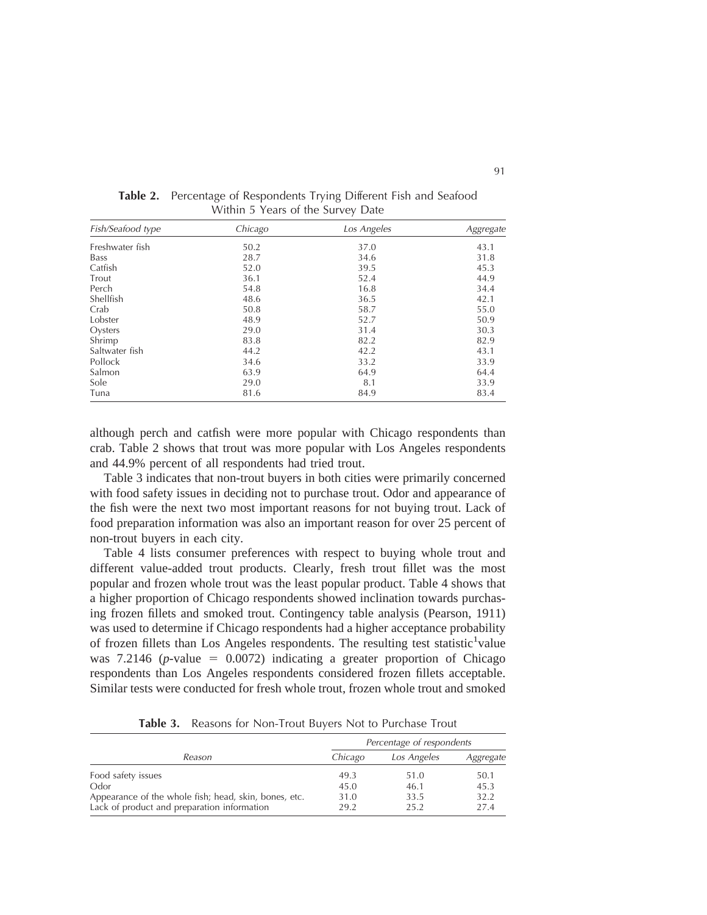| Fish/Seafood type | Chicago | Los Angeles | Aggregate |
|-------------------|---------|-------------|-----------|
| Freshwater fish   | 50.2    | 37.0        | 43.1      |
| <b>Bass</b>       | 28.7    | 34.6        | 31.8      |
| Catfish           | 52.0    | 39.5        | 45.3      |
| Trout             | 36.1    | 52.4        | 44.9      |
| Perch             | 54.8    | 16.8        | 34.4      |
| Shellfish         | 48.6    | 36.5        | 42.1      |
| Crab              | 50.8    | 58.7        | 55.0      |
| Lobster           | 48.9    | 52.7        | 50.9      |
| Oysters           | 29.0    | 31.4        | 30.3      |
| Shrimp            | 83.8    | 82.2        | 82.9      |
| Saltwater fish    | 44.2    | 42.2        | 43.1      |
| Pollock           | 34.6    | 33.2        | 33.9      |
| Salmon            | 63.9    | 64.9        | 64.4      |
| Sole              | 29.0    | 8.1         | 33.9      |
| Tuna              | 81.6    | 84.9        | 83.4      |

**Table 2.** Percentage of Respondents Trying Different Fish and Seafood Within 5 Years of the Survey Date

although perch and catfish were more popular with Chicago respondents than crab. Table 2 shows that trout was more popular with Los Angeles respondents and 44.9% percent of all respondents had tried trout.

Table 3 indicates that non-trout buyers in both cities were primarily concerned with food safety issues in deciding not to purchase trout. Odor and appearance of the fish were the next two most important reasons for not buying trout. Lack of food preparation information was also an important reason for over 25 percent of non-trout buyers in each city.

Table 4 lists consumer preferences with respect to buying whole trout and different value-added trout products. Clearly, fresh trout fillet was the most popular and frozen whole trout was the least popular product. Table 4 shows that a higher proportion of Chicago respondents showed inclination towards purchasing frozen fillets and smoked trout. Contingency table analysis (Pearson, 1911) was used to determine if Chicago respondents had a higher acceptance probability of frozen fillets than Los Angeles respondents. The resulting test statistic<sup>1</sup>value was  $7.2146$  (*p*-value = 0.0072) indicating a greater proportion of Chicago respondents than Los Angeles respondents considered frozen fillets acceptable. Similar tests were conducted for fresh whole trout, frozen whole trout and smoked

|                                                               | Percentage of respondents |              |              |  |  |
|---------------------------------------------------------------|---------------------------|--------------|--------------|--|--|
| Reason                                                        | Chicago                   | Los Angeles  | Aggregate    |  |  |
| Food safety issues                                            | 49.3                      | 51.0         | 50.1         |  |  |
| Odor<br>Appearance of the whole fish; head, skin, bones, etc. | 45.0<br>31.0              | 46.1<br>33.5 | 45.3<br>32.2 |  |  |
| Lack of product and preparation information                   | 29.2                      | 25.2         | 27.4         |  |  |

**Table 3.** Reasons for Non-Trout Buyers Not to Purchase Trout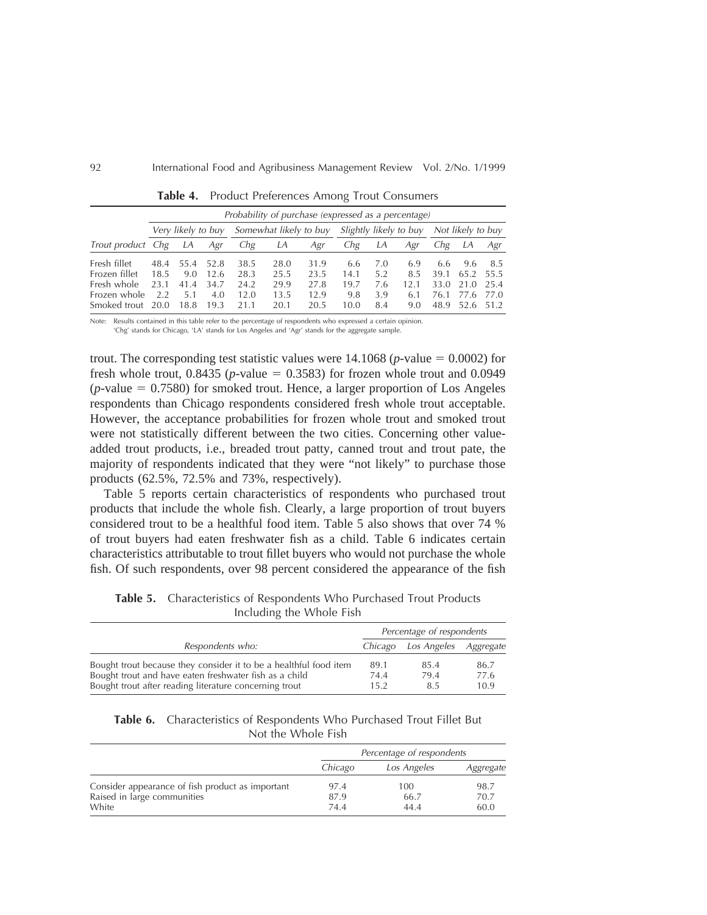|                               |              | Probability of purchase (expressed as a percentage) |              |              |                        |              |             |            |                        |              |                   |              |
|-------------------------------|--------------|-----------------------------------------------------|--------------|--------------|------------------------|--------------|-------------|------------|------------------------|--------------|-------------------|--------------|
|                               |              | Very likely to buy                                  |              |              | Somewhat likely to buy |              |             |            | Slightly likely to buy |              | Not likely to buy |              |
| Trout product Chg             |              | LA                                                  | Agr          | Chg          | LА                     | Agr          | Chg         | LА         | Agr                    | Chg          | LА                | Agr          |
| Fresh fillet<br>Frozen fillet | 48.4<br>18.5 | 55.4<br>9.0                                         | 52.8<br>12.6 | 38.5<br>28.3 | 28.0<br>25.5           | 31.9<br>23.5 | 6.6<br>14.1 | 7.0<br>5.2 | 6.9<br>8.5             | 6.6<br>39.1  | 9.6<br>65.2       | 8.5<br>55.5  |
| Fresh whole                   | 23.1         | 41.4                                                | 34.7         | 24.2         | 29.9                   | 27.8         | 19.7        | 7.6        | 12.1                   | 33.0         | 21.0              | 25.4         |
| Frozen whole<br>Smoked trout  | 2.2<br>20.0  | 5.1<br>18.8                                         | 4.0<br>19.3  | 12.0<br>21.1 | 13.5<br>20.1           | 12.9<br>20.5 | 9.8<br>10.0 | 3.9<br>8.4 | 6.1<br>9.0             | 76.1<br>48.9 | 77.6<br>52.6      | 77.0<br>51.2 |

**Table 4.** Product Preferences Among Trout Consumers

Note: Results contained in this table refer to the percentage of respondents who expressed a certain opinion.

'Chg' stands for Chicago, 'LA' stands for Los Angeles and 'Agr' stands for the aggregate sample.

trout. The corresponding test statistic values were  $14.1068$  (*p*-value  $= 0.0002$ ) for fresh whole trout,  $0.8435$  (*p*-value = 0.3583) for frozen whole trout and 0.0949  $(p$ -value  $= 0.7580$ ) for smoked trout. Hence, a larger proportion of Los Angeles respondents than Chicago respondents considered fresh whole trout acceptable. However, the acceptance probabilities for frozen whole trout and smoked trout were not statistically different between the two cities. Concerning other valueadded trout products, i.e., breaded trout patty, canned trout and trout pate, the majority of respondents indicated that they were "not likely" to purchase those products (62.5%, 72.5% and 73%, respectively).

Table 5 reports certain characteristics of respondents who purchased trout products that include the whole fish. Clearly, a large proportion of trout buyers considered trout to be a healthful food item. Table 5 also shows that over 74 % of trout buyers had eaten freshwater fish as a child. Table 6 indicates certain characteristics attributable to trout fillet buyers who would not purchase the whole fish. Of such respondents, over 98 percent considered the appearance of the fish

|                                                                                                                                                                                       | Percentage of respondents |                     |                      |  |
|---------------------------------------------------------------------------------------------------------------------------------------------------------------------------------------|---------------------------|---------------------|----------------------|--|
| Respondents who:                                                                                                                                                                      | Chicago                   | Los Angeles         | Aggregate            |  |
| Bought trout because they consider it to be a healthful food item<br>Bought trout and have eaten freshwater fish as a child<br>Bought trout after reading literature concerning trout | 89.1<br>74.4<br>15.2      | 85.4<br>79.4<br>8.5 | 86.7<br>77.6<br>10.9 |  |

**Table 5.** Characteristics of Respondents Who Purchased Trout Products Including the Whole Fish

| Table 6. Characteristics of Respondents Who Purchased Trout Fillet But |  |
|------------------------------------------------------------------------|--|
| Not the Whole Fish                                                     |  |

|                                                  | Percentage of respondents |             |           |  |
|--------------------------------------------------|---------------------------|-------------|-----------|--|
|                                                  | Chicago                   | Los Angeles | Aggregate |  |
| Consider appearance of fish product as important | 97.4                      | 100         | 98.7      |  |
| Raised in large communities                      | 87.9                      | 66.7        | 70.7      |  |
| White                                            | 74.4                      | 44.4        | 60.0      |  |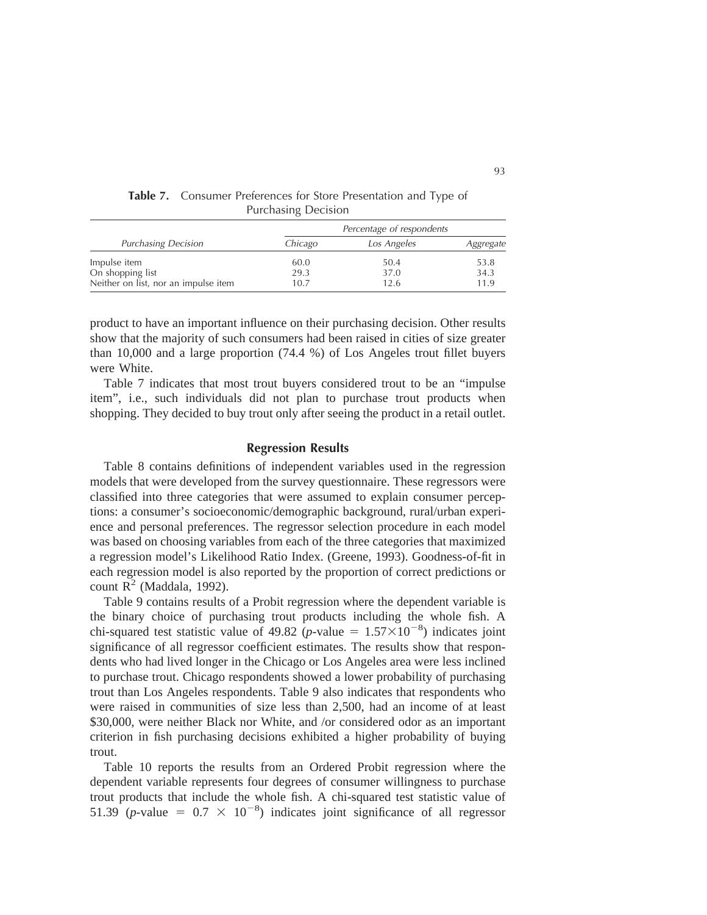|                                      | Percentage of respondents |             |           |  |
|--------------------------------------|---------------------------|-------------|-----------|--|
| <b>Purchasing Decision</b>           | Chicago                   | Los Angeles | Aggregate |  |
| Impulse item                         | 60.0                      | 50.4        | 53.8      |  |
| On shopping list                     | 29.3                      | 37.0        | 34.3      |  |
| Neither on list, nor an impulse item | 10.7                      | 12.6        | 11.9      |  |

**Table 7.** Consumer Preferences for Store Presentation and Type of Purchasing Decision

product to have an important influence on their purchasing decision. Other results show that the majority of such consumers had been raised in cities of size greater than 10,000 and a large proportion (74.4 %) of Los Angeles trout fillet buyers were White.

Table 7 indicates that most trout buyers considered trout to be an "impulse item", i.e., such individuals did not plan to purchase trout products when shopping. They decided to buy trout only after seeing the product in a retail outlet.

#### **Regression Results**

Table 8 contains definitions of independent variables used in the regression models that were developed from the survey questionnaire. These regressors were classified into three categories that were assumed to explain consumer perceptions: a consumer's socioeconomic/demographic background, rural/urban experience and personal preferences. The regressor selection procedure in each model was based on choosing variables from each of the three categories that maximized a regression model's Likelihood Ratio Index. (Greene, 1993). Goodness-of-fit in each regression model is also reported by the proportion of correct predictions or count  $R^2$  (Maddala, 1992).

Table 9 contains results of a Probit regression where the dependent variable is the binary choice of purchasing trout products including the whole fish. A chi-squared test statistic value of 49.82 (*p*-value =  $1.57 \times 10^{-8}$ ) indicates joint significance of all regressor coefficient estimates. The results show that respondents who had lived longer in the Chicago or Los Angeles area were less inclined to purchase trout. Chicago respondents showed a lower probability of purchasing trout than Los Angeles respondents. Table 9 also indicates that respondents who were raised in communities of size less than 2,500, had an income of at least \$30,000, were neither Black nor White, and /or considered odor as an important criterion in fish purchasing decisions exhibited a higher probability of buying trout.

Table 10 reports the results from an Ordered Probit regression where the dependent variable represents four degrees of consumer willingness to purchase trout products that include the whole fish. A chi-squared test statistic value of 51.39 (*p*-value =  $0.7 \times 10^{-8}$ ) indicates joint significance of all regressor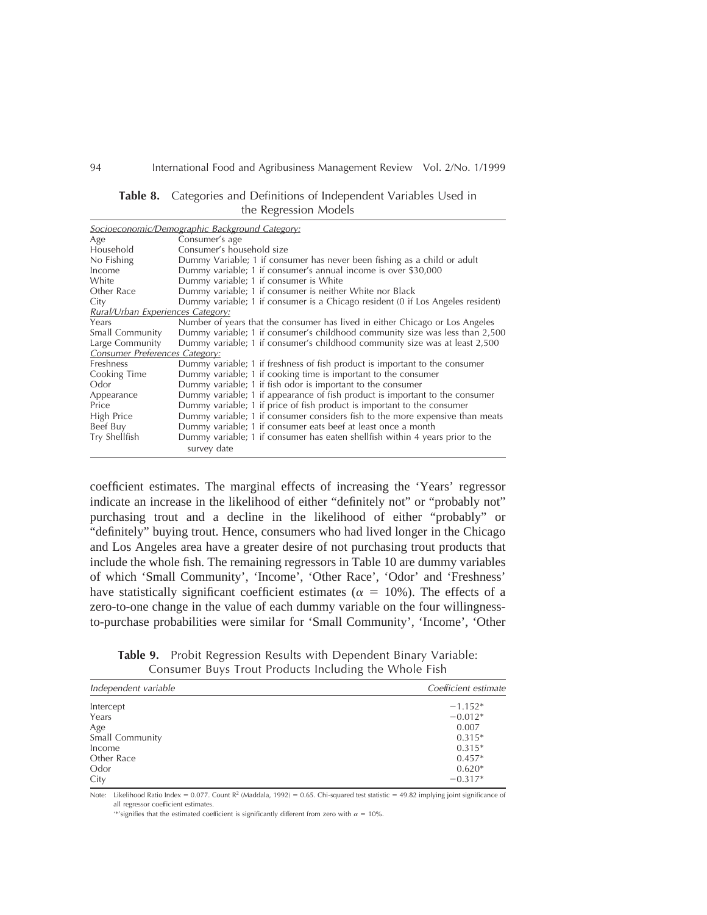|                                   | Socioeconomic/Demographic Background Category:                                  |
|-----------------------------------|---------------------------------------------------------------------------------|
| Age                               | Consumer's age                                                                  |
| Household                         | Consumer's household size                                                       |
| No Fishing                        | Dummy Variable; 1 if consumer has never been fishing as a child or adult        |
| Income                            | Dummy variable; 1 if consumer's annual income is over \$30,000                  |
| White                             | Dummy variable; 1 if consumer is White                                          |
| Other Race                        | Dummy variable; 1 if consumer is neither White nor Black                        |
| City                              | Dummy variable; 1 if consumer is a Chicago resident (0 if Los Angeles resident) |
| Rural/Urban Experiences Category: |                                                                                 |
| Years                             | Number of years that the consumer has lived in either Chicago or Los Angeles    |
| Small Community                   | Dummy variable; 1 if consumer's childhood community size was less than 2,500    |
| Large Community                   | Dummy variable; 1 if consumer's childhood community size was at least 2,500     |
| Consumer Preferences Category:    |                                                                                 |
| Freshness                         | Dummy variable; 1 if freshness of fish product is important to the consumer     |
| Cooking Time                      | Dummy variable; 1 if cooking time is important to the consumer                  |
| Odor                              | Dummy variable; 1 if fish odor is important to the consumer                     |
| Appearance                        | Dummy variable; 1 if appearance of fish product is important to the consumer    |
| Price                             | Dummy variable; 1 if price of fish product is important to the consumer         |
| High Price                        | Dummy variable; 1 if consumer considers fish to the more expensive than meats   |
| Beef Buy                          | Dummy variable; 1 if consumer eats beef at least once a month                   |
| Try Shellfish                     | Dummy variable; 1 if consumer has eaten shellfish within 4 years prior to the   |
|                                   | survey date                                                                     |

**Table 8.** Categories and Definitions of Independent Variables Used in the Regression Models

coefficient estimates. The marginal effects of increasing the 'Years' regressor indicate an increase in the likelihood of either "definitely not" or "probably not" purchasing trout and a decline in the likelihood of either "probably" or "definitely" buying trout. Hence, consumers who had lived longer in the Chicago and Los Angeles area have a greater desire of not purchasing trout products that include the whole fish. The remaining regressors in Table 10 are dummy variables of which 'Small Community', 'Income', 'Other Race', 'Odor' and 'Freshness' have statistically significant coefficient estimates ( $\alpha = 10\%$ ). The effects of a zero-to-one change in the value of each dummy variable on the four willingnessto-purchase probabilities were similar for 'Small Community', 'Income', 'Other

**Table 9.** Probit Regression Results with Dependent Binary Variable: Consumer Buys Trout Products Including the Whole Fish

| Independent variable | Coefficient estimate |
|----------------------|----------------------|
| Intercept            | $-1.152*$            |
| Years                | $-0.012*$            |
| Age                  | 0.007                |
| Small Community      | $0.315*$             |
| Income               | $0.315*$             |
| Other Race           | $0.457*$             |
| Odor                 | $0.620*$             |
| City                 | $-0.317*$            |

Note: Likelihood Ratio Index = 0.077. Count R<sup>2</sup> (Maddala, 1992) = 0.65. Chi-squared test statistic = 49.82 implying joint significance of all regressor coefficient estimates.

'\*'signifies that the estimated coefficient is significantly different from zero with  $\alpha = 10$ %.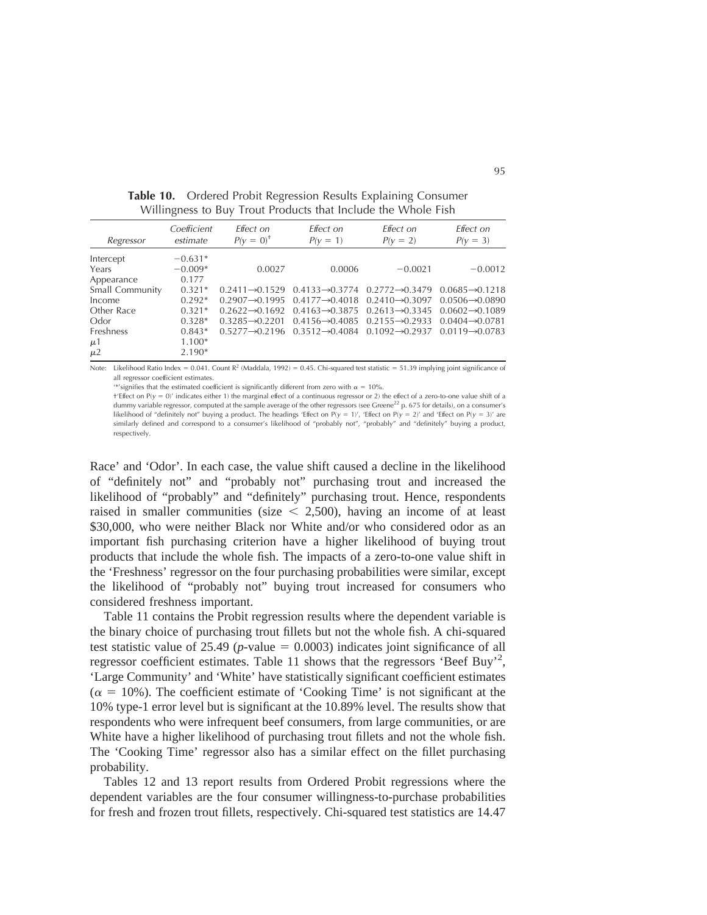|                  | $\circ$                 |                             |                                                                                     |                                                         |                             |
|------------------|-------------------------|-----------------------------|-------------------------------------------------------------------------------------|---------------------------------------------------------|-----------------------------|
| Regressor        | Coefficient<br>estimate | Effect on<br>$P(v = 0)^+$   | Effect on<br>$P(y = 1)$                                                             | Effect on<br>$P(y = 2)$                                 | Effect on<br>$P(y = 3)$     |
| Intercept        | $-0.631*$               |                             |                                                                                     |                                                         |                             |
| Years            | $-0.009*$               | 0.0027                      | 0.0006                                                                              | $-0.0021$                                               | $-0.0012$                   |
| Appearance       | 0.177                   |                             |                                                                                     |                                                         |                             |
| Small Community  | $0.321*$                |                             | $0.2411 \rightarrow 0.1529$ $0.4133 \rightarrow 0.3774$ $0.2772 \rightarrow 0.3479$ |                                                         | $0.0685 \rightarrow 0.1218$ |
| Income           | $0.292*$                | $0.2907 \rightarrow 0.1995$ | $0.4177 \rightarrow 0.4018$                                                         | $0.2410 \rightarrow 0.3097$                             | $0.0506 \rightarrow 0.0890$ |
| Other Race       | $0.321*$                | $0.2622 \rightarrow 0.1692$ |                                                                                     | $0.4163 \rightarrow 0.3875$ $0.2613 \rightarrow 0.3345$ | $0.0602 \rightarrow 0.1089$ |
| Odor             | $0.328*$                | $0.3285 \rightarrow 0.2201$ |                                                                                     | $0.4156 \rightarrow 0.4085$ $0.2155 \rightarrow 0.2933$ | $0.0404 \rightarrow 0.0781$ |
| <b>Freshness</b> | $0.843*$                |                             | $0.5277 \rightarrow 0.2196$ $0.3512 \rightarrow 0.4084$ $0.1092 \rightarrow 0.2937$ |                                                         | $0.0119 - 0.0783$           |
| $\mu$ 1          | $1.100*$                |                             |                                                                                     |                                                         |                             |
| $\mu$ 2          | $2.190*$                |                             |                                                                                     |                                                         |                             |

**Table 10.** Ordered Probit Regression Results Explaining Consumer Willingness to Buy Trout Products that Include the Whole Fish

Note: Likelihood Ratio Index = 0.041. Count R<sup>2</sup> (Maddala, 1992) = 0.45. Chi-squared test statistic = 51.39 implying joint significance of all regressor coefficient estimates.

'\*'signifies that the estimated coefficient is significantly different from zero with  $\alpha = 10\%$ .

 $\pm$ 'Effect on P(y = 0)' indicates either 1) the marginal effect of a continuous regressor or 2) the effect of a zero-to-one value shift of a dummy variable regressor, computed at the sample average of the other regressors (see Greene<sup>22</sup> p. 675 for details), on a consumer's likelihood of "definitely not" buying a product. The headings 'Effect on P(y = 1)', 'Effect on P(y = 2)' and 'Effect on P(y = 3)' are similarly defined and correspond to a consumer's likelihood of "probably not", "probably" and "definitely" buying a product, respectively.

Race' and 'Odor'. In each case, the value shift caused a decline in the likelihood of "definitely not" and "probably not" purchasing trout and increased the likelihood of "probably" and "definitely" purchasing trout. Hence, respondents raised in smaller communities (size  $\lt$  2,500), having an income of at least \$30,000, who were neither Black nor White and/or who considered odor as an important fish purchasing criterion have a higher likelihood of buying trout products that include the whole fish. The impacts of a zero-to-one value shift in the 'Freshness' regressor on the four purchasing probabilities were similar, except the likelihood of "probably not" buying trout increased for consumers who considered freshness important.

Table 11 contains the Probit regression results where the dependent variable is the binary choice of purchasing trout fillets but not the whole fish. A chi-squared test statistic value of 25.49 ( $p$ -value = 0.0003) indicates joint significance of all regressor coefficient estimates. Table 11 shows that the regressors 'Beef Buy'<sup>2</sup>, 'Large Community' and 'White' have statistically significant coefficient estimates  $(\alpha = 10\%)$ . The coefficient estimate of 'Cooking Time' is not significant at the 10% type-1 error level but is significant at the 10.89% level. The results show that respondents who were infrequent beef consumers, from large communities, or are White have a higher likelihood of purchasing trout fillets and not the whole fish. The 'Cooking Time' regressor also has a similar effect on the fillet purchasing probability.

Tables 12 and 13 report results from Ordered Probit regressions where the dependent variables are the four consumer willingness-to-purchase probabilities for fresh and frozen trout fillets, respectively. Chi-squared test statistics are 14.47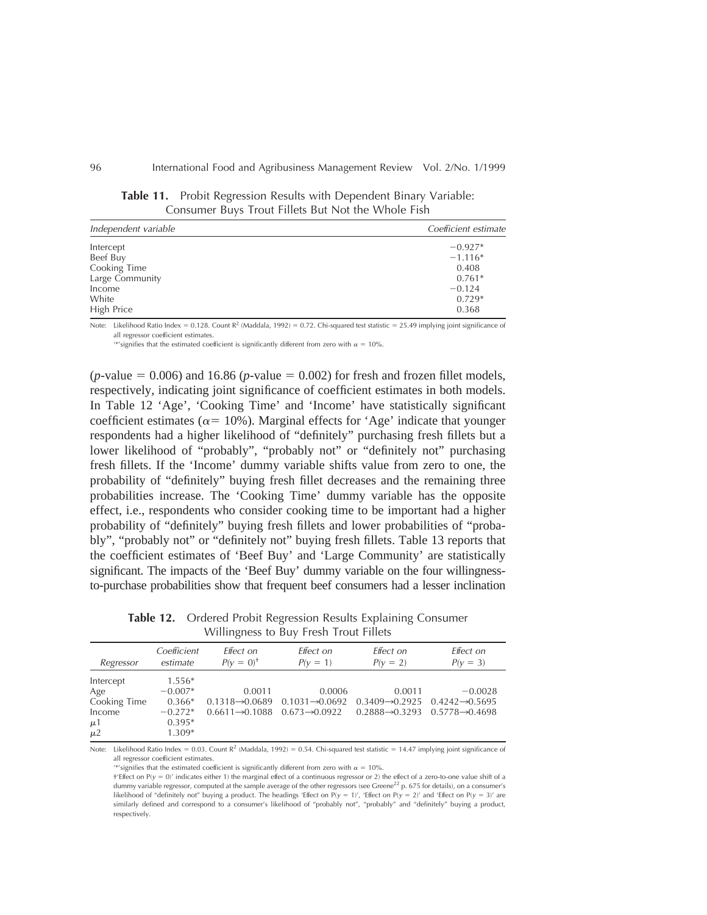| Independent variable | Coefficient estimate |
|----------------------|----------------------|
| Intercept            | $-0.927*$            |
| Beef Buy             | $-1.116*$            |
| Cooking Time         | 0.408                |
| Large Community      | $0.761*$             |
| Income               | $-0.124$             |
| White                | $0.729*$             |
| High Price           | 0.368                |

**Table 11.** Probit Regression Results with Dependent Binary Variable: Consumer Buys Trout Fillets But Not the Whole Fish

Note: Likelihood Ratio Index = 0.128. Count  $R^2$  (Maddala, 1992) = 0.72. Chi-squared test statistic = 25.49 implying joint significance of all regressor coefficient estimates.

'\*'signifies that the estimated coefficient is significantly different from zero with  $\alpha = 10\%$ .

 $(p$ -value = 0.006) and 16.86  $(p$ -value = 0.002) for fresh and frozen fillet models, respectively, indicating joint significance of coefficient estimates in both models. In Table 12 'Age', 'Cooking Time' and 'Income' have statistically significant coefficient estimates ( $\alpha$ = 10%). Marginal effects for 'Age' indicate that younger respondents had a higher likelihood of "definitely" purchasing fresh fillets but a lower likelihood of "probably", "probably not" or "definitely not" purchasing fresh fillets. If the 'Income' dummy variable shifts value from zero to one, the probability of "definitely" buying fresh fillet decreases and the remaining three probabilities increase. The 'Cooking Time' dummy variable has the opposite effect, i.e., respondents who consider cooking time to be important had a higher probability of "definitely" buying fresh fillets and lower probabilities of "probably", "probably not" or "definitely not" buying fresh fillets. Table 13 reports that the coefficient estimates of 'Beef Buy' and 'Large Community' are statistically significant. The impacts of the 'Beef Buy' dummy variable on the four willingnessto-purchase probabilities show that frequent beef consumers had a lesser inclination

| Regressor                                                        | Coefficient                                                            | Effect on                                                            | Effect on                                                           | Effect on                                                                                        | Effect on                                |
|------------------------------------------------------------------|------------------------------------------------------------------------|----------------------------------------------------------------------|---------------------------------------------------------------------|--------------------------------------------------------------------------------------------------|------------------------------------------|
|                                                                  | estimate                                                               | $P(V = 0)^+$                                                         | $P(V = 1)$                                                          | $P(y = 2)$                                                                                       | $P(y = 3)$                               |
| Intercept<br>Age<br>Cooking Time<br>Income<br>$\mu$ 1<br>$\mu$ 2 | $1.556*$<br>$-0.007*$<br>$0.366*$<br>$-0.272*$<br>$0.395*$<br>$1.309*$ | 0.0011<br>$0.1318 \rightarrow 0.0689$<br>$0.6611 \rightarrow 0.1088$ | 0.0006<br>$0.1031 \rightarrow 0.0692$<br>$0.673 \rightarrow 0.0922$ | 0.0011<br>$0.3409 \rightarrow 0.2925$<br>$0.2888 \rightarrow 0.3293$ $0.5778 \rightarrow 0.4698$ | $-0.0028$<br>$0.4242 \rightarrow 0.5695$ |

**Table 12.** Ordered Probit Regression Results Explaining Consumer Willingness to Buy Fresh Trout Fillets

Note: Likelihood Ratio Index = 0.03. Count  $R^2$  (Maddala, 1992) = 0.54. Chi-squared test statistic = 14.47 implying joint significance of all regressor coefficient estimates.

'\*'signifies that the estimated coefficient is significantly different from zero with  $\alpha = 10\%$ .

<sup>†&#</sup>x27;Effect on  $P(y = 0)'$  indicates either 1) the marginal effect of a continuous regressor or 2) the effect of a zero-to-one value shift of a dummy variable regressor, computed at the sample average of the other regressors (see Greene<sup>22</sup> p. 675 for details), on a consumer's likelihood of "definitely not" buying a product. The headings 'Effect on P(y = 1)', 'Effect on P(y = 2)' and 'Effect on P(y = 3)' are similarly defined and correspond to a consumer's likelihood of "probably not", "probably" and "definitely" buying a product, respectively.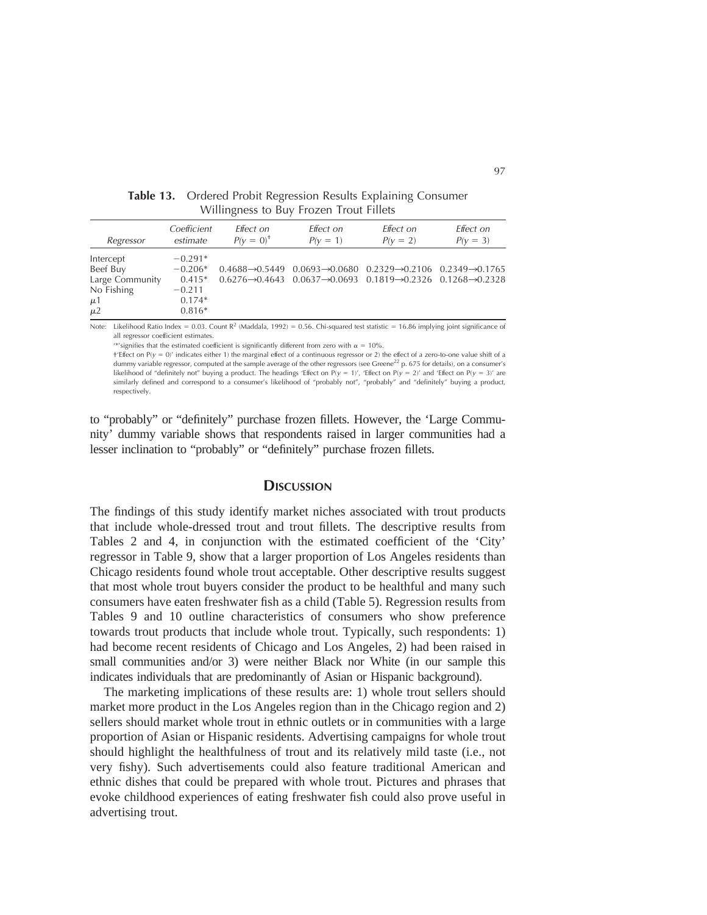| Regressor                                                                    | Coefficient                                                            | Effect on    | Effect on                                                                                                                                                                                                                          | Effect on  | Effect on  |
|------------------------------------------------------------------------------|------------------------------------------------------------------------|--------------|------------------------------------------------------------------------------------------------------------------------------------------------------------------------------------------------------------------------------------|------------|------------|
|                                                                              | estimate                                                               | $P(V = 0)^+$ | $P(y = 1)$                                                                                                                                                                                                                         | $P(y = 2)$ | $P(y = 3)$ |
| Intercept<br>Beef Buy<br>Large Community<br>No Fishing<br>$\mu$ 1<br>$\mu$ 2 | $-0.291*$<br>$-0.206*$<br>$0.415*$<br>$-0.211$<br>$0.174*$<br>$0.816*$ |              | $0.4688 \rightarrow 0.5449$ $0.0693 \rightarrow 0.0680$ $0.2329 \rightarrow 0.2106$ $0.2349 \rightarrow 0.1765$<br>$0.6276 \rightarrow 0.4643$ $0.0637 \rightarrow 0.0693$ $0.1819 \rightarrow 0.2326$ $0.1268 \rightarrow 0.2328$ |            |            |

**Table 13.** Ordered Probit Regression Results Explaining Consumer Willingness to Buy Frozen Trout Fillets

Note: Likelihood Ratio Index = 0.03. Count  $R^2$  (Maddala, 1992) = 0.56. Chi-squared test statistic = 16.86 implying joint significance of all regressor coefficient estimates.

'\*'signifies that the estimated coefficient is significantly different from zero with  $\alpha = 10\%$ .

 $\pm$ 'Effect on P(y = 0)' indicates either 1) the marginal effect of a continuous regressor or 2) the effect of a zero-to-one value shift of a dummy variable regressor, computed at the sample average of the other regressors (see Greene<sup>22</sup> p. 675 for details), on a consumer's likelihood of "definitely not" buying a product. The headings 'Effect on P(y = 1)', 'Effect on P(y = 2)' and 'Effect on P(y = 3)' are similarly defined and correspond to a consumer's likelihood of "probably not", "probably" and "definitely" buying a product, respectively.

to "probably" or "definitely" purchase frozen fillets. However, the 'Large Community' dummy variable shows that respondents raised in larger communities had a lesser inclination to "probably" or "definitely" purchase frozen fillets.

#### **DISCUSSION**

The findings of this study identify market niches associated with trout products that include whole-dressed trout and trout fillets. The descriptive results from Tables 2 and 4, in conjunction with the estimated coefficient of the 'City' regressor in Table 9, show that a larger proportion of Los Angeles residents than Chicago residents found whole trout acceptable. Other descriptive results suggest that most whole trout buyers consider the product to be healthful and many such consumers have eaten freshwater fish as a child (Table 5). Regression results from Tables 9 and 10 outline characteristics of consumers who show preference towards trout products that include whole trout. Typically, such respondents: 1) had become recent residents of Chicago and Los Angeles, 2) had been raised in small communities and/or 3) were neither Black nor White (in our sample this indicates individuals that are predominantly of Asian or Hispanic background).

The marketing implications of these results are: 1) whole trout sellers should market more product in the Los Angeles region than in the Chicago region and 2) sellers should market whole trout in ethnic outlets or in communities with a large proportion of Asian or Hispanic residents. Advertising campaigns for whole trout should highlight the healthfulness of trout and its relatively mild taste (i.e., not very fishy). Such advertisements could also feature traditional American and ethnic dishes that could be prepared with whole trout. Pictures and phrases that evoke childhood experiences of eating freshwater fish could also prove useful in advertising trout.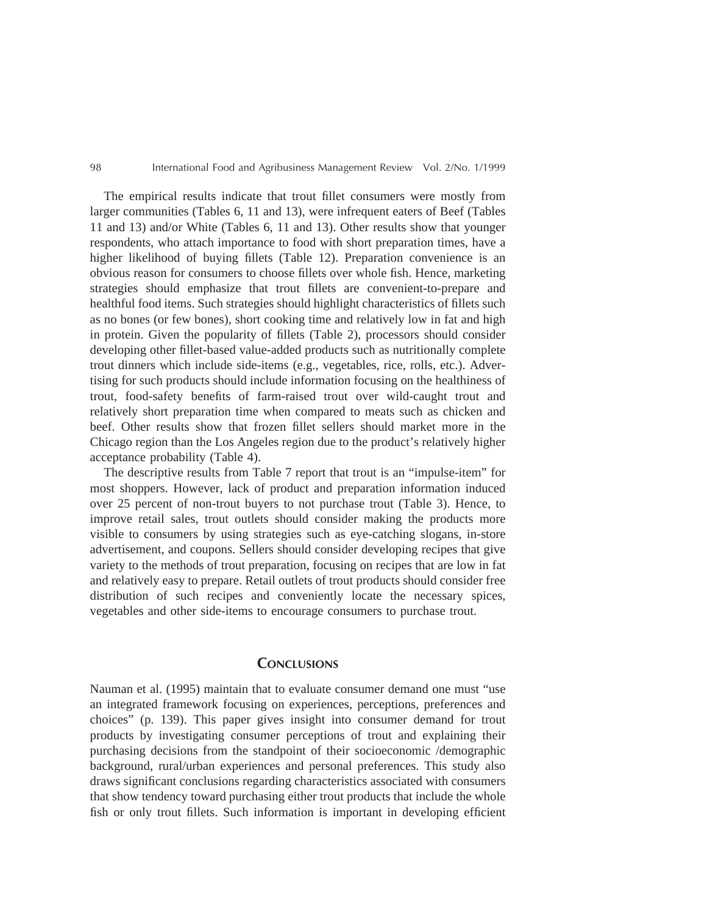The empirical results indicate that trout fillet consumers were mostly from larger communities (Tables 6, 11 and 13), were infrequent eaters of Beef (Tables 11 and 13) and/or White (Tables 6, 11 and 13). Other results show that younger respondents, who attach importance to food with short preparation times, have a higher likelihood of buying fillets (Table 12). Preparation convenience is an obvious reason for consumers to choose fillets over whole fish. Hence, marketing strategies should emphasize that trout fillets are convenient-to-prepare and healthful food items. Such strategies should highlight characteristics of fillets such as no bones (or few bones), short cooking time and relatively low in fat and high in protein. Given the popularity of fillets (Table 2), processors should consider developing other fillet-based value-added products such as nutritionally complete trout dinners which include side-items (e.g., vegetables, rice, rolls, etc.). Advertising for such products should include information focusing on the healthiness of trout, food-safety benefits of farm-raised trout over wild-caught trout and relatively short preparation time when compared to meats such as chicken and beef. Other results show that frozen fillet sellers should market more in the Chicago region than the Los Angeles region due to the product's relatively higher acceptance probability (Table 4).

The descriptive results from Table 7 report that trout is an "impulse-item" for most shoppers. However, lack of product and preparation information induced over 25 percent of non-trout buyers to not purchase trout (Table 3). Hence, to improve retail sales, trout outlets should consider making the products more visible to consumers by using strategies such as eye-catching slogans, in-store advertisement, and coupons. Sellers should consider developing recipes that give variety to the methods of trout preparation, focusing on recipes that are low in fat and relatively easy to prepare. Retail outlets of trout products should consider free distribution of such recipes and conveniently locate the necessary spices, vegetables and other side-items to encourage consumers to purchase trout.

# **CONCLUSIONS**

Nauman et al. (1995) maintain that to evaluate consumer demand one must "use an integrated framework focusing on experiences, perceptions, preferences and choices" (p. 139). This paper gives insight into consumer demand for trout products by investigating consumer perceptions of trout and explaining their purchasing decisions from the standpoint of their socioeconomic /demographic background, rural/urban experiences and personal preferences. This study also draws significant conclusions regarding characteristics associated with consumers that show tendency toward purchasing either trout products that include the whole fish or only trout fillets. Such information is important in developing efficient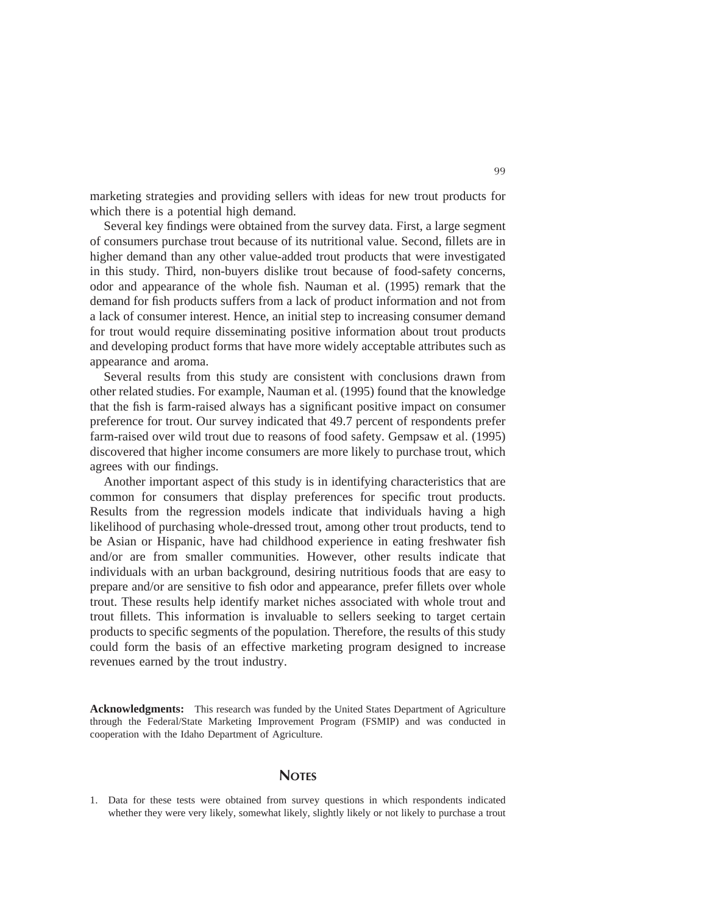marketing strategies and providing sellers with ideas for new trout products for which there is a potential high demand.

Several key findings were obtained from the survey data. First, a large segment of consumers purchase trout because of its nutritional value. Second, fillets are in higher demand than any other value-added trout products that were investigated in this study. Third, non-buyers dislike trout because of food-safety concerns, odor and appearance of the whole fish. Nauman et al. (1995) remark that the demand for fish products suffers from a lack of product information and not from a lack of consumer interest. Hence, an initial step to increasing consumer demand for trout would require disseminating positive information about trout products and developing product forms that have more widely acceptable attributes such as appearance and aroma.

Several results from this study are consistent with conclusions drawn from other related studies. For example, Nauman et al. (1995) found that the knowledge that the fish is farm-raised always has a significant positive impact on consumer preference for trout. Our survey indicated that 49.7 percent of respondents prefer farm-raised over wild trout due to reasons of food safety. Gempsaw et al. (1995) discovered that higher income consumers are more likely to purchase trout, which agrees with our findings.

Another important aspect of this study is in identifying characteristics that are common for consumers that display preferences for specific trout products. Results from the regression models indicate that individuals having a high likelihood of purchasing whole-dressed trout, among other trout products, tend to be Asian or Hispanic, have had childhood experience in eating freshwater fish and/or are from smaller communities. However, other results indicate that individuals with an urban background, desiring nutritious foods that are easy to prepare and/or are sensitive to fish odor and appearance, prefer fillets over whole trout. These results help identify market niches associated with whole trout and trout fillets. This information is invaluable to sellers seeking to target certain products to specific segments of the population. Therefore, the results of this study could form the basis of an effective marketing program designed to increase revenues earned by the trout industry.

**Acknowledgments:** This research was funded by the United States Department of Agriculture through the Federal/State Marketing Improvement Program (FSMIP) and was conducted in cooperation with the Idaho Department of Agriculture.

#### **NOTES**

1. Data for these tests were obtained from survey questions in which respondents indicated whether they were very likely, somewhat likely, slightly likely or not likely to purchase a trout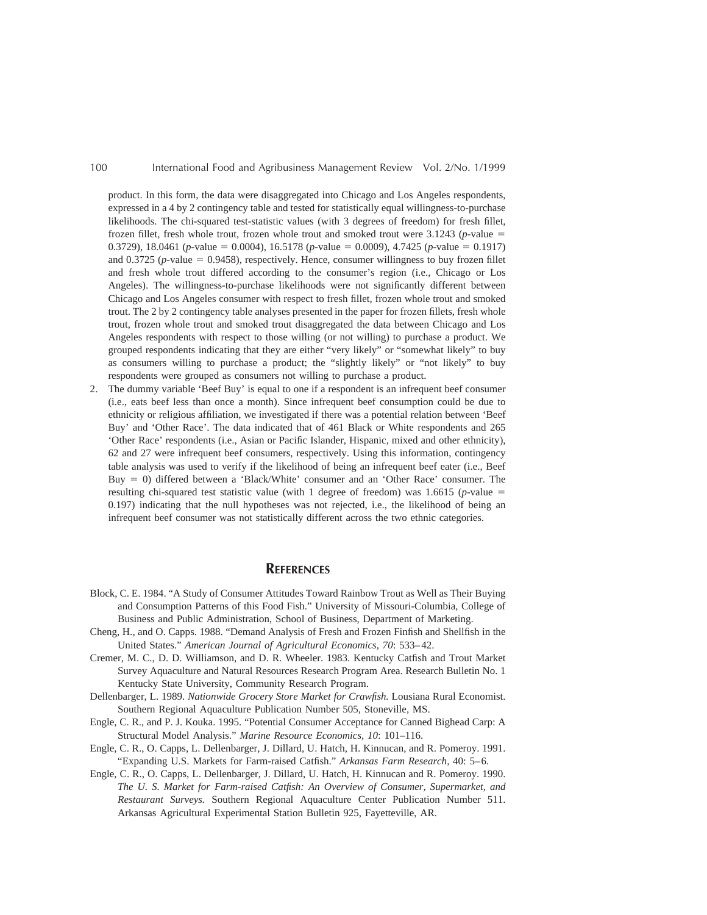product. In this form, the data were disaggregated into Chicago and Los Angeles respondents, expressed in a 4 by 2 contingency table and tested for statistically equal willingness-to-purchase likelihoods. The chi-squared test-statistic values (with 3 degrees of freedom) for fresh fillet, frozen fillet, fresh whole trout, frozen whole trout and smoked trout were  $3.1243$  (*p*-value = 0.3729), 18.0461 (*p*-value = 0.0004), 16.5178 (*p*-value = 0.0009), 4.7425 (*p*-value = 0.1917) and 0.3725 ( $p$ -value = 0.9458), respectively. Hence, consumer willingness to buy frozen fillet and fresh whole trout differed according to the consumer's region (i.e., Chicago or Los Angeles). The willingness-to-purchase likelihoods were not significantly different between Chicago and Los Angeles consumer with respect to fresh fillet, frozen whole trout and smoked trout. The 2 by 2 contingency table analyses presented in the paper for frozen fillets, fresh whole trout, frozen whole trout and smoked trout disaggregated the data between Chicago and Los Angeles respondents with respect to those willing (or not willing) to purchase a product. We grouped respondents indicating that they are either "very likely" or "somewhat likely" to buy as consumers willing to purchase a product; the "slightly likely" or "not likely" to buy respondents were grouped as consumers not willing to purchase a product.

2. The dummy variable 'Beef Buy' is equal to one if a respondent is an infrequent beef consumer (i.e., eats beef less than once a month). Since infrequent beef consumption could be due to ethnicity or religious affiliation, we investigated if there was a potential relation between 'Beef Buy' and 'Other Race'. The data indicated that of 461 Black or White respondents and 265 'Other Race' respondents (i.e., Asian or Pacific Islander, Hispanic, mixed and other ethnicity), 62 and 27 were infrequent beef consumers, respectively. Using this information, contingency table analysis was used to verify if the likelihood of being an infrequent beef eater (i.e., Beef Buy 5 0) differed between a 'Black/White' consumer and an 'Other Race' consumer. The resulting chi-squared test statistic value (with 1 degree of freedom) was 1.6615 (*p*-value  $=$ 0.197) indicating that the null hypotheses was not rejected, i.e., the likelihood of being an infrequent beef consumer was not statistically different across the two ethnic categories.

#### **REFERENCES**

- Block, C. E. 1984. "A Study of Consumer Attitudes Toward Rainbow Trout as Well as Their Buying and Consumption Patterns of this Food Fish." University of Missouri-Columbia, College of Business and Public Administration, School of Business, Department of Marketing.
- Cheng, H., and O. Capps. 1988. "Demand Analysis of Fresh and Frozen Finfish and Shellfish in the United States." *American Journal of Agricultural Economics, 70*: 533–42.
- Cremer, M. C., D. D. Williamson, and D. R. Wheeler. 1983. Kentucky Catfish and Trout Market Survey Aquaculture and Natural Resources Research Program Area. Research Bulletin No. 1 Kentucky State University, Community Research Program.
- Dellenbarger, L. 1989. *Nationwide Grocery Store Market for Crawfish.* Lousiana Rural Economist. Southern Regional Aquaculture Publication Number 505, Stoneville, MS.
- Engle, C. R., and P. J. Kouka. 1995. "Potential Consumer Acceptance for Canned Bighead Carp: A Structural Model Analysis." *Marine Resource Economics, 10*: 101–116.
- Engle, C. R., O. Capps, L. Dellenbarger, J. Dillard, U. Hatch, H. Kinnucan, and R. Pomeroy. 1991. "Expanding U.S. Markets for Farm-raised Catfish." *Arkansas Farm Research,* 40: 5–6.
- Engle, C. R., O. Capps, L. Dellenbarger, J. Dillard, U. Hatch, H. Kinnucan and R. Pomeroy. 1990. *The U. S. Market for Farm-raised Catfish: An Overview of Consumer, Supermarket, and Restaurant Surveys.* Southern Regional Aquaculture Center Publication Number 511. Arkansas Agricultural Experimental Station Bulletin 925, Fayetteville, AR.